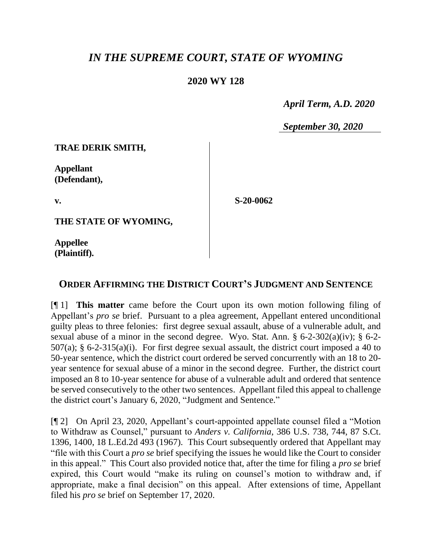## *IN THE SUPREME COURT, STATE OF WYOMING*

## **2020 WY 128**

 *April Term, A.D. 2020*

*September 30, 2020*

**TRAE DERIK SMITH,**

**Appellant (Defendant),**

**v.**

**S-20-0062**

**THE STATE OF WYOMING,**

**Appellee (Plaintiff).**

## **ORDER AFFIRMING THE DISTRICT COURT'S JUDGMENT AND SENTENCE**

[¶ 1] **This matter** came before the Court upon its own motion following filing of Appellant's *pro se* brief. Pursuant to a plea agreement, Appellant entered unconditional guilty pleas to three felonies: first degree sexual assault, abuse of a vulnerable adult, and sexual abuse of a minor in the second degree. Wyo. Stat. Ann. § 6-2-302(a)(iv); § 6-2- 507(a); § 6-2-315(a)(i). For first degree sexual assault, the district court imposed a 40 to 50-year sentence, which the district court ordered be served concurrently with an 18 to 20 year sentence for sexual abuse of a minor in the second degree. Further, the district court imposed an 8 to 10-year sentence for abuse of a vulnerable adult and ordered that sentence be served consecutively to the other two sentences. Appellant filed this appeal to challenge the district court's January 6, 2020, "Judgment and Sentence."

[¶ 2] On April 23, 2020, Appellant's court-appointed appellate counsel filed a "Motion to Withdraw as Counsel," pursuant to *Anders v. California*, 386 U.S. 738, 744, 87 S.Ct. 1396, 1400, 18 L.Ed.2d 493 (1967). This Court subsequently ordered that Appellant may "file with this Court a *pro se* brief specifying the issues he would like the Court to consider in this appeal." This Court also provided notice that, after the time for filing a *pro se* brief expired, this Court would "make its ruling on counsel's motion to withdraw and, if appropriate, make a final decision" on this appeal. After extensions of time, Appellant filed his *pro se* brief on September 17, 2020.